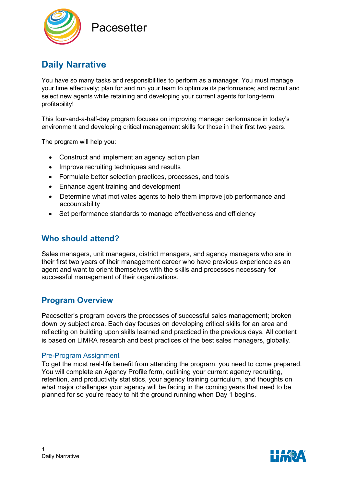

# **Pacesetter**

# **Daily Narrative**

You have so many tasks and responsibilities to perform as a manager. You must manage your time effectively; plan for and run your team to optimize its performance; and recruit and select new agents while retaining and developing your current agents for long-term profitability!

This four-and-a-half-day program focuses on improving manager performance in today's environment and developing critical management skills for those in their first two years.

The program will help you:

- Construct and implement an agency action plan
- Improve recruiting techniques and results
- Formulate better selection practices, processes, and tools
- Enhance agent training and development
- Determine what motivates agents to help them improve job performance and accountability
- Set performance standards to manage effectiveness and efficiency

# **Who should attend?**

Sales managers, unit managers, district managers, and agency managers who are in their first two years of their management career who have previous experience as an agent and want to orient themselves with the skills and processes necessary for successful management of their organizations.

# **Program Overview**

Pacesetter's program covers the processes of successful sales management; broken down by subject area. Each day focuses on developing critical skills for an area and reflecting on building upon skills learned and practiced in the previous days. All content is based on LIMRA research and best practices of the best sales managers, globally.

#### Pre-Program Assignment

To get the most real-life benefit from attending the program, you need to come prepared. You will complete an Agency Profile form, outlining your current agency recruiting, retention, and productivity statistics, your agency training curriculum, and thoughts on what major challenges your agency will be facing in the coming years that need to be planned for so you're ready to hit the ground running when Day 1 begins.